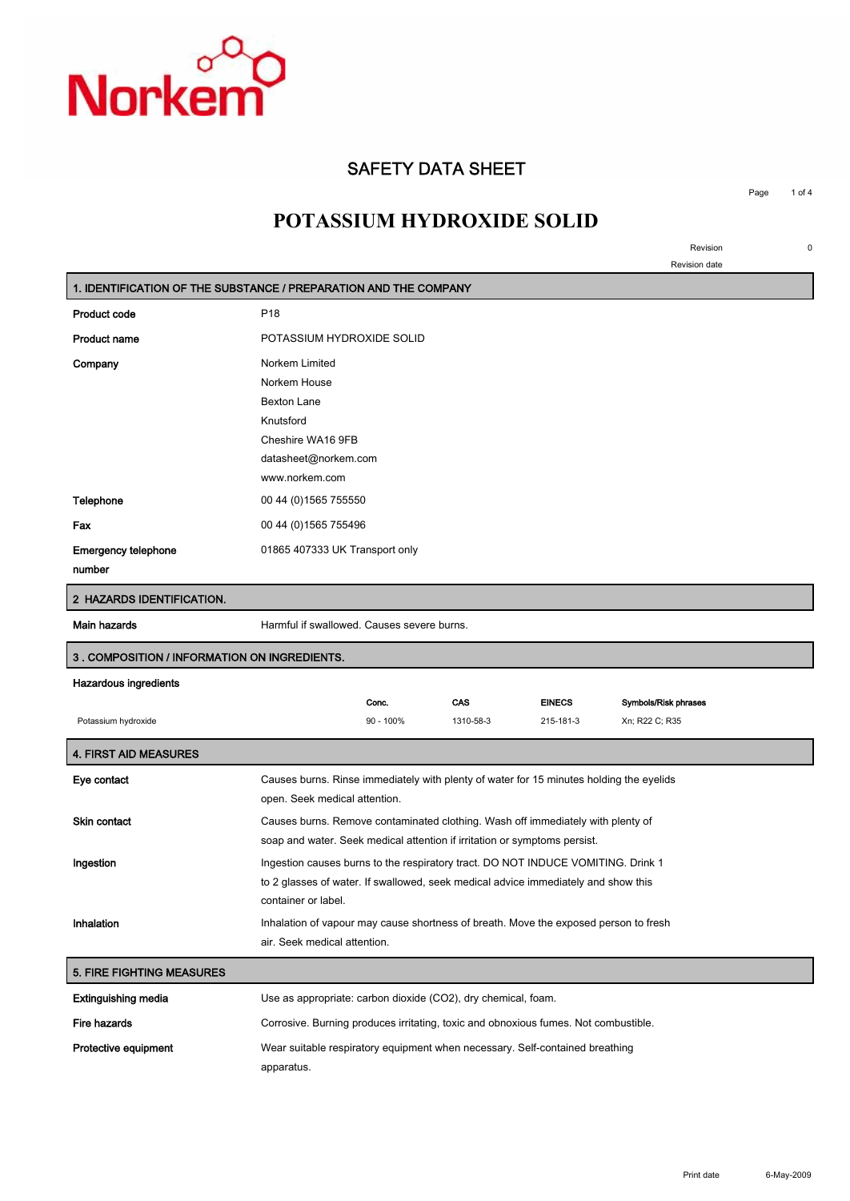

## **SAFETY DATA SHEET**

**Page 1 of 4**

# **POTASSIUM HYDROXIDE SOLID**

**Revision 0**

**Revision date**

|                                              | 1. IDENTIFICATION OF THE SUBSTANCE / PREPARATION AND THE COMPANY                                                                                                                              |  |  |
|----------------------------------------------|-----------------------------------------------------------------------------------------------------------------------------------------------------------------------------------------------|--|--|
| <b>Product code</b>                          | P <sub>18</sub>                                                                                                                                                                               |  |  |
| <b>Product name</b>                          | POTASSIUM HYDROXIDE SOLID                                                                                                                                                                     |  |  |
| Company                                      | Norkem Limited<br>Norkem House<br><b>Bexton Lane</b><br>Knutsford<br>Cheshire WA16 9FB<br>datasheet@norkem.com<br>www.norkem.com                                                              |  |  |
| <b>Telephone</b>                             | 00 44 (0) 1565 755550                                                                                                                                                                         |  |  |
| Fax                                          | 00 44 (0) 1565 755496                                                                                                                                                                         |  |  |
| <b>Emergency telephone</b><br>number         | 01865 407333 UK Transport only                                                                                                                                                                |  |  |
| 2 HAZARDS IDENTIFICATION.                    |                                                                                                                                                                                               |  |  |
| Main hazards                                 | Harmful if swallowed. Causes severe burns.                                                                                                                                                    |  |  |
| 3. COMPOSITION / INFORMATION ON INGREDIENTS. |                                                                                                                                                                                               |  |  |
| <b>Hazardous ingredients</b>                 |                                                                                                                                                                                               |  |  |
| Potassium hydroxide                          | CAS<br><b>EINECS</b><br>Symbols/Risk phrases<br>Conc.<br>90 - 100%<br>Xn; R22 C; R35<br>1310-58-3<br>215-181-3                                                                                |  |  |
| <b>4. FIRST AID MEASURES</b>                 |                                                                                                                                                                                               |  |  |
| Eye contact                                  | Causes burns. Rinse immediately with plenty of water for 15 minutes holding the eyelids<br>open. Seek medical attention.                                                                      |  |  |
| <b>Skin contact</b>                          | Causes burns. Remove contaminated clothing. Wash off immediately with plenty of<br>soap and water. Seek medical attention if irritation or symptoms persist.                                  |  |  |
| Ingestion                                    | Ingestion causes burns to the respiratory tract. DO NOT INDUCE VOMITING. Drink 1<br>to 2 glasses of water. If swallowed, seek medical advice immediately and show this<br>container or label. |  |  |
| Inhalation                                   | Inhalation of vapour may cause shortness of breath. Move the exposed person to fresh<br>air. Seek medical attention.                                                                          |  |  |
| <b>5. FIRE FIGHTING MEASURES</b>             |                                                                                                                                                                                               |  |  |
| <b>Extinguishing media</b>                   | Use as appropriate: carbon dioxide (CO2), dry chemical, foam.                                                                                                                                 |  |  |
| <b>Fire hazards</b>                          | Corrosive. Burning produces irritating, toxic and obnoxious fumes. Not combustible.                                                                                                           |  |  |
| Protective equipment                         | Wear suitable respiratory equipment when necessary. Self-contained breathing<br>apparatus.                                                                                                    |  |  |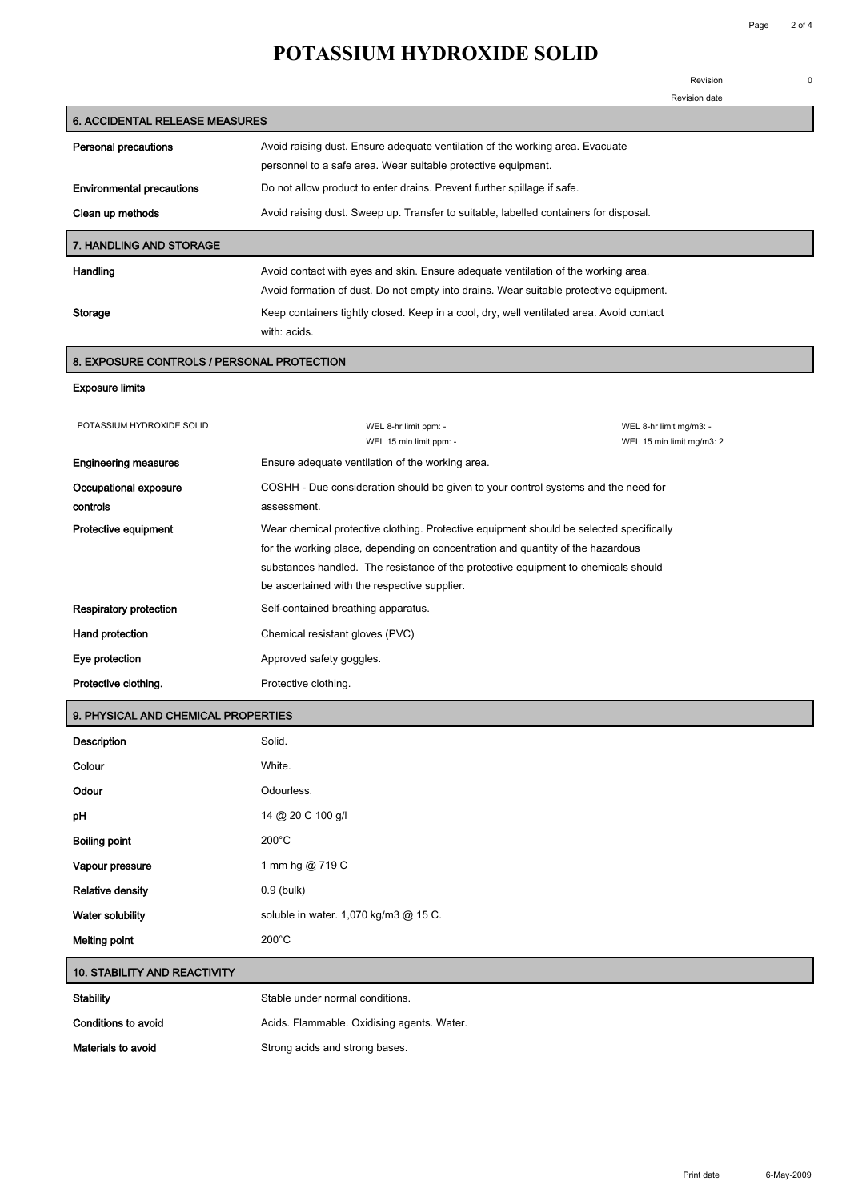## **POTASSIUM HYDROXIDE SOLID**

**Revision 0**

|                                            |                                                                                          | Revision date                                                                         |  |  |
|--------------------------------------------|------------------------------------------------------------------------------------------|---------------------------------------------------------------------------------------|--|--|
| <b>6. ACCIDENTAL RELEASE MEASURES</b>      |                                                                                          |                                                                                       |  |  |
| <b>Personal precautions</b>                | Avoid raising dust. Ensure adequate ventilation of the working area. Evacuate            |                                                                                       |  |  |
|                                            | personnel to a safe area. Wear suitable protective equipment.                            |                                                                                       |  |  |
| <b>Environmental precautions</b>           |                                                                                          | Do not allow product to enter drains. Prevent further spillage if safe.               |  |  |
| Clean up methods                           |                                                                                          | Avoid raising dust. Sweep up. Transfer to suitable, labelled containers for disposal. |  |  |
| <b>7. HANDLING AND STORAGE</b>             |                                                                                          |                                                                                       |  |  |
| Handling                                   | Avoid contact with eyes and skin. Ensure adequate ventilation of the working area.       |                                                                                       |  |  |
|                                            | Avoid formation of dust. Do not empty into drains. Wear suitable protective equipment.   |                                                                                       |  |  |
| Storage                                    | Keep containers tightly closed. Keep in a cool, dry, well ventilated area. Avoid contact |                                                                                       |  |  |
|                                            | with: acids.                                                                             |                                                                                       |  |  |
| 8. EXPOSURE CONTROLS / PERSONAL PROTECTION |                                                                                          |                                                                                       |  |  |
| <b>Exposure limits</b>                     |                                                                                          |                                                                                       |  |  |
| POTASSIUM HYDROXIDE SOLID                  | WEL 8-hr limit ppm: -                                                                    | WEL 8-hr limit mg/m3: -                                                               |  |  |
|                                            | WEL 15 min limit ppm: -                                                                  | WEL 15 min limit mg/m3: 2                                                             |  |  |
| <b>Engineering measures</b>                | Ensure adequate ventilation of the working area.                                         |                                                                                       |  |  |
| Occupational exposure                      | COSHH - Due consideration should be given to your control systems and the need for       |                                                                                       |  |  |
| controls                                   | assessment.                                                                              |                                                                                       |  |  |

**for the working place, depending on concentration and quantity of the hazardous substances handled. The resistance of the protective equipment to chemicals should** 

|                        | be ascertained with the respective supplier. |
|------------------------|----------------------------------------------|
| Respiratory protection | Self-contained breathing apparatus.          |
| Hand protection        | Chemical resistant gloves (PVC)              |
| Eye protection         | Approved safety goggles.                     |
| Protective clothing.   | Protective clothing.                         |

**Protective equipment Wear chemical protective clothing. Protective equipment should be selected specifically** 

#### **9. PHYSICAL AND CHEMICAL PROPERTIES**

| Description             | Solid.                                |
|-------------------------|---------------------------------------|
| Colour                  | White.                                |
| Odour                   | Odourless.                            |
| pH                      | 14 @ 20 C 100 g/l                     |
| <b>Boiling point</b>    | $200^{\circ}$ C                       |
| Vapour pressure         | 1 mm hg @ 719 C                       |
| <b>Relative density</b> | 0.9 (bulk)                            |
| Water solubility        | soluble in water. 1,070 kg/m3 @ 15 C. |
| <b>Melting point</b>    | $200^{\circ}$ C                       |

#### **10. STABILITY AND REACTIVITY**

| Stability           | Stable under normal conditions.            |
|---------------------|--------------------------------------------|
| Conditions to avoid | Acids. Flammable. Oxidising agents. Water. |
| Materials to avoid  | Strong acids and strong bases.             |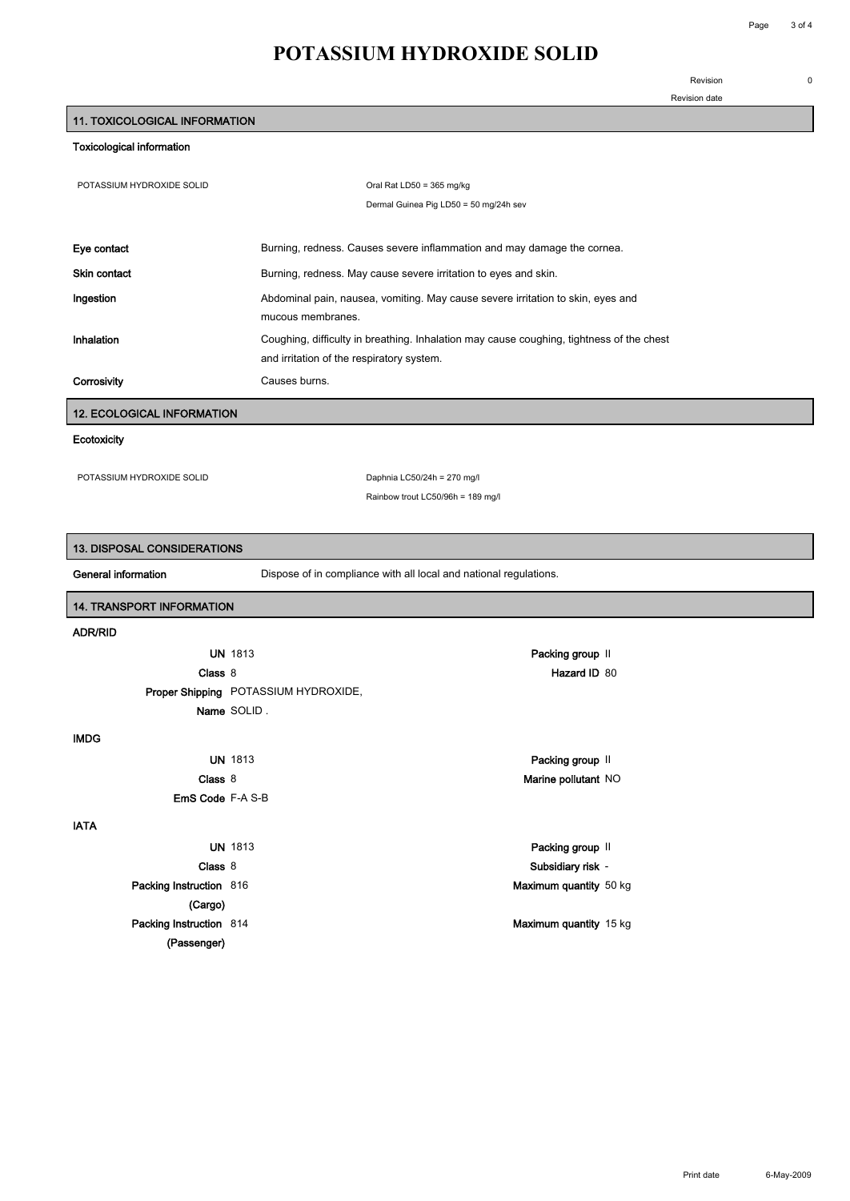### **Revision 0**

**Revision date**

# **POTASSIUM HYDROXIDE SOLID**

#### **Toxicological information**

| POTASSIUM HYDROXIDE SOLID         |                                                                   | Oral Rat LD50 = 365 mg/kg                                                                |  |  |
|-----------------------------------|-------------------------------------------------------------------|------------------------------------------------------------------------------------------|--|--|
|                                   |                                                                   | Dermal Guinea Pig LD50 = 50 mg/24h sev                                                   |  |  |
|                                   |                                                                   |                                                                                          |  |  |
| Eye contact                       |                                                                   | Burning, redness. Causes severe inflammation and may damage the cornea.                  |  |  |
| <b>Skin contact</b>               | Burning, redness. May cause severe irritation to eyes and skin.   |                                                                                          |  |  |
| Ingestion                         |                                                                   | Abdominal pain, nausea, vomiting. May cause severe irritation to skin, eyes and          |  |  |
|                                   | mucous membranes.                                                 |                                                                                          |  |  |
| Inhalation                        |                                                                   | Coughing, difficulty in breathing. Inhalation may cause coughing, tightness of the chest |  |  |
|                                   | and irritation of the respiratory system.                         |                                                                                          |  |  |
| Corrosivity                       | Causes burns.                                                     |                                                                                          |  |  |
| <b>12. ECOLOGICAL INFORMATION</b> |                                                                   |                                                                                          |  |  |
| Ecotoxicity                       |                                                                   |                                                                                          |  |  |
|                                   |                                                                   |                                                                                          |  |  |
| POTASSIUM HYDROXIDE SOLID         |                                                                   | Daphnia LC50/24h = 270 mg/l<br>Rainbow trout LC50/96h = 189 mg/l                         |  |  |
|                                   |                                                                   |                                                                                          |  |  |
|                                   |                                                                   |                                                                                          |  |  |
| 13. DISPOSAL CONSIDERATIONS       |                                                                   |                                                                                          |  |  |
| General information               | Dispose of in compliance with all local and national regulations. |                                                                                          |  |  |
| 14. TRANSPORT INFORMATION         |                                                                   |                                                                                          |  |  |
| <b>ADR/RID</b>                    |                                                                   |                                                                                          |  |  |
| <b>UN 1813</b>                    |                                                                   | Packing group II                                                                         |  |  |
| Class 8                           |                                                                   | Hazard ID 80                                                                             |  |  |
|                                   | Proper Shipping POTASSIUM HYDROXIDE,                              |                                                                                          |  |  |
| Name SOLID.                       |                                                                   |                                                                                          |  |  |
| <b>IMDG</b>                       |                                                                   |                                                                                          |  |  |
| <b>UN 1813</b>                    |                                                                   | Packing group II                                                                         |  |  |
| Class 8                           |                                                                   | Marine pollutant NO                                                                      |  |  |
| <b>EmS Code F-A S-B</b>           |                                                                   |                                                                                          |  |  |
| <b>IATA</b>                       |                                                                   |                                                                                          |  |  |
| <b>UN 1813</b>                    |                                                                   | Packing group II                                                                         |  |  |
| Class 8                           |                                                                   | Subsidiary risk -                                                                        |  |  |
| Packing Instruction 816           |                                                                   | Maximum quantity 50 kg                                                                   |  |  |
| (Cargo)                           |                                                                   |                                                                                          |  |  |
| Packing Instruction 814           |                                                                   | Maximum quantity 15 kg                                                                   |  |  |
| (Passenger)                       |                                                                   |                                                                                          |  |  |